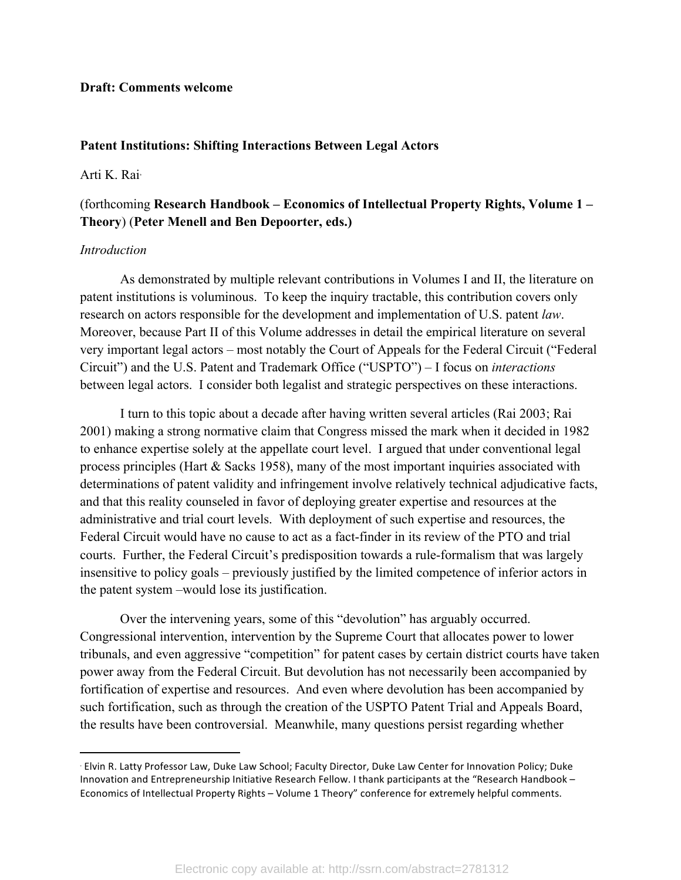#### **Draft: Comments welcome**

 

#### **Patent Institutions: Shifting Interactions Between Legal Actors**

# Arti K. Rai<sup>∗</sup>

# (forthcoming **Research Handbook – Economics of Intellectual Property Rights, Volume 1 – Theory**) (**Peter Menell and Ben Depoorter, eds.)**

### *Introduction*

As demonstrated by multiple relevant contributions in Volumes I and II, the literature on patent institutions is voluminous. To keep the inquiry tractable, this contribution covers only research on actors responsible for the development and implementation of U.S. patent *law*. Moreover, because Part II of this Volume addresses in detail the empirical literature on several very important legal actors – most notably the Court of Appeals for the Federal Circuit ("Federal Circuit") and the U.S. Patent and Trademark Office ("USPTO") – I focus on *interactions* between legal actors. I consider both legalist and strategic perspectives on these interactions.

I turn to this topic about a decade after having written several articles (Rai 2003; Rai 2001) making a strong normative claim that Congress missed the mark when it decided in 1982 to enhance expertise solely at the appellate court level. I argued that under conventional legal process principles (Hart & Sacks 1958), many of the most important inquiries associated with determinations of patent validity and infringement involve relatively technical adjudicative facts, and that this reality counseled in favor of deploying greater expertise and resources at the administrative and trial court levels. With deployment of such expertise and resources, the Federal Circuit would have no cause to act as a fact-finder in its review of the PTO and trial courts. Further, the Federal Circuit's predisposition towards a rule-formalism that was largely insensitive to policy goals – previously justified by the limited competence of inferior actors in the patent system –would lose its justification.

Over the intervening years, some of this "devolution" has arguably occurred. Congressional intervention, intervention by the Supreme Court that allocates power to lower tribunals, and even aggressive "competition" for patent cases by certain district courts have taken power away from the Federal Circuit. But devolution has not necessarily been accompanied by fortification of expertise and resources. And even where devolution has been accompanied by such fortification, such as through the creation of the USPTO Patent Trial and Appeals Board, the results have been controversial. Meanwhile, many questions persist regarding whether

<sup>∗</sup> Elvin R. Latty Professor Law, Duke Law School; Faculty Director, Duke Law Center for Innovation Policy; Duke Innovation and Entrepreneurship Initiative Research Fellow. I thank participants at the "Research Handbook – Economics of Intellectual Property Rights - Volume 1 Theory" conference for extremely helpful comments.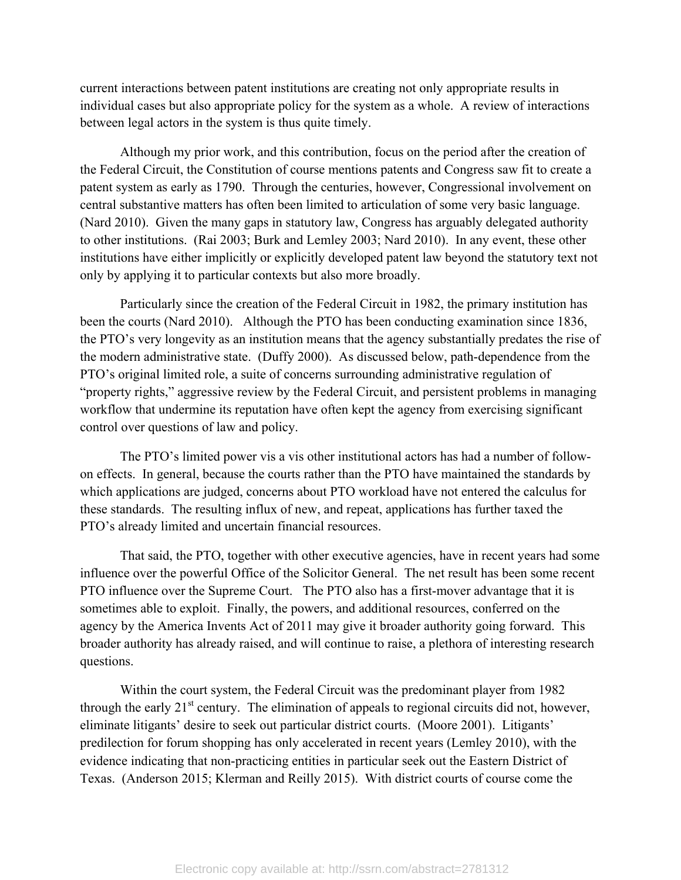current interactions between patent institutions are creating not only appropriate results in individual cases but also appropriate policy for the system as a whole. A review of interactions between legal actors in the system is thus quite timely.

Although my prior work, and this contribution, focus on the period after the creation of the Federal Circuit, the Constitution of course mentions patents and Congress saw fit to create a patent system as early as 1790. Through the centuries, however, Congressional involvement on central substantive matters has often been limited to articulation of some very basic language. (Nard 2010). Given the many gaps in statutory law, Congress has arguably delegated authority to other institutions. (Rai 2003; Burk and Lemley 2003; Nard 2010). In any event, these other institutions have either implicitly or explicitly developed patent law beyond the statutory text not only by applying it to particular contexts but also more broadly.

Particularly since the creation of the Federal Circuit in 1982, the primary institution has been the courts (Nard 2010). Although the PTO has been conducting examination since 1836, the PTO's very longevity as an institution means that the agency substantially predates the rise of the modern administrative state. (Duffy 2000). As discussed below, path-dependence from the PTO's original limited role, a suite of concerns surrounding administrative regulation of "property rights," aggressive review by the Federal Circuit, and persistent problems in managing workflow that undermine its reputation have often kept the agency from exercising significant control over questions of law and policy.

The PTO's limited power vis a vis other institutional actors has had a number of followon effects. In general, because the courts rather than the PTO have maintained the standards by which applications are judged, concerns about PTO workload have not entered the calculus for these standards. The resulting influx of new, and repeat, applications has further taxed the PTO's already limited and uncertain financial resources.

That said, the PTO, together with other executive agencies, have in recent years had some influence over the powerful Office of the Solicitor General. The net result has been some recent PTO influence over the Supreme Court. The PTO also has a first-mover advantage that it is sometimes able to exploit. Finally, the powers, and additional resources, conferred on the agency by the America Invents Act of 2011 may give it broader authority going forward. This broader authority has already raised, and will continue to raise, a plethora of interesting research questions.

Within the court system, the Federal Circuit was the predominant player from 1982 through the early  $21<sup>st</sup>$  century. The elimination of appeals to regional circuits did not, however, eliminate litigants' desire to seek out particular district courts. (Moore 2001). Litigants' predilection for forum shopping has only accelerated in recent years (Lemley 2010), with the evidence indicating that non-practicing entities in particular seek out the Eastern District of Texas. (Anderson 2015; Klerman and Reilly 2015). With district courts of course come the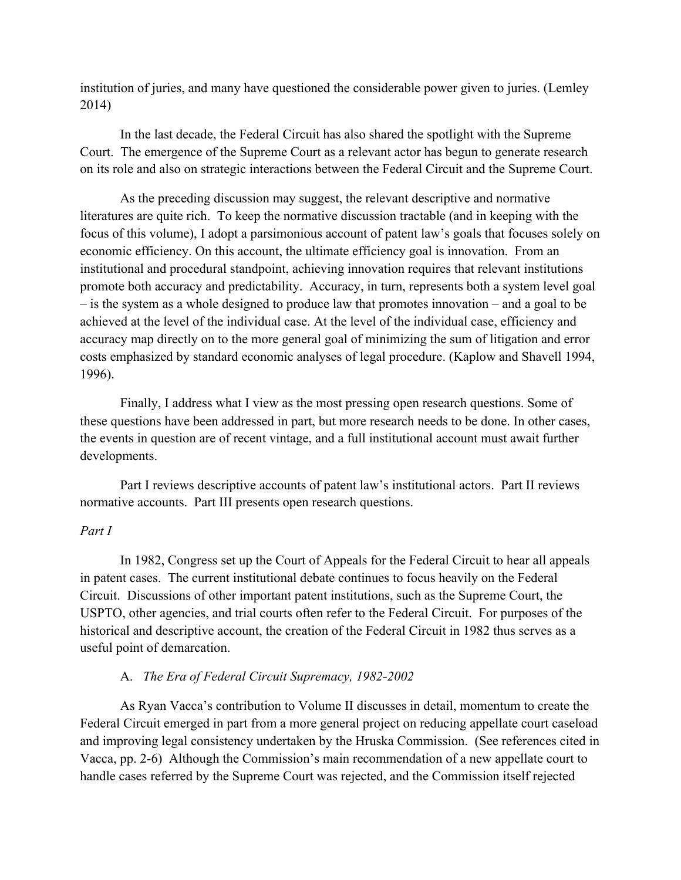institution of juries, and many have questioned the considerable power given to juries. (Lemley 2014)

In the last decade, the Federal Circuit has also shared the spotlight with the Supreme Court. The emergence of the Supreme Court as a relevant actor has begun to generate research on its role and also on strategic interactions between the Federal Circuit and the Supreme Court.

As the preceding discussion may suggest, the relevant descriptive and normative literatures are quite rich. To keep the normative discussion tractable (and in keeping with the focus of this volume), I adopt a parsimonious account of patent law's goals that focuses solely on economic efficiency. On this account, the ultimate efficiency goal is innovation. From an institutional and procedural standpoint, achieving innovation requires that relevant institutions promote both accuracy and predictability. Accuracy, in turn, represents both a system level goal – is the system as a whole designed to produce law that promotes innovation – and a goal to be achieved at the level of the individual case. At the level of the individual case, efficiency and accuracy map directly on to the more general goal of minimizing the sum of litigation and error costs emphasized by standard economic analyses of legal procedure. (Kaplow and Shavell 1994, 1996).

Finally, I address what I view as the most pressing open research questions. Some of these questions have been addressed in part, but more research needs to be done. In other cases, the events in question are of recent vintage, and a full institutional account must await further developments.

Part I reviews descriptive accounts of patent law's institutional actors. Part II reviews normative accounts. Part III presents open research questions.

### *Part I*

In 1982, Congress set up the Court of Appeals for the Federal Circuit to hear all appeals in patent cases. The current institutional debate continues to focus heavily on the Federal Circuit. Discussions of other important patent institutions, such as the Supreme Court, the USPTO, other agencies, and trial courts often refer to the Federal Circuit. For purposes of the historical and descriptive account, the creation of the Federal Circuit in 1982 thus serves as a useful point of demarcation.

#### A. *The Era of Federal Circuit Supremacy, 1982-2002*

As Ryan Vacca's contribution to Volume II discusses in detail, momentum to create the Federal Circuit emerged in part from a more general project on reducing appellate court caseload and improving legal consistency undertaken by the Hruska Commission. (See references cited in Vacca, pp. 2-6) Although the Commission's main recommendation of a new appellate court to handle cases referred by the Supreme Court was rejected, and the Commission itself rejected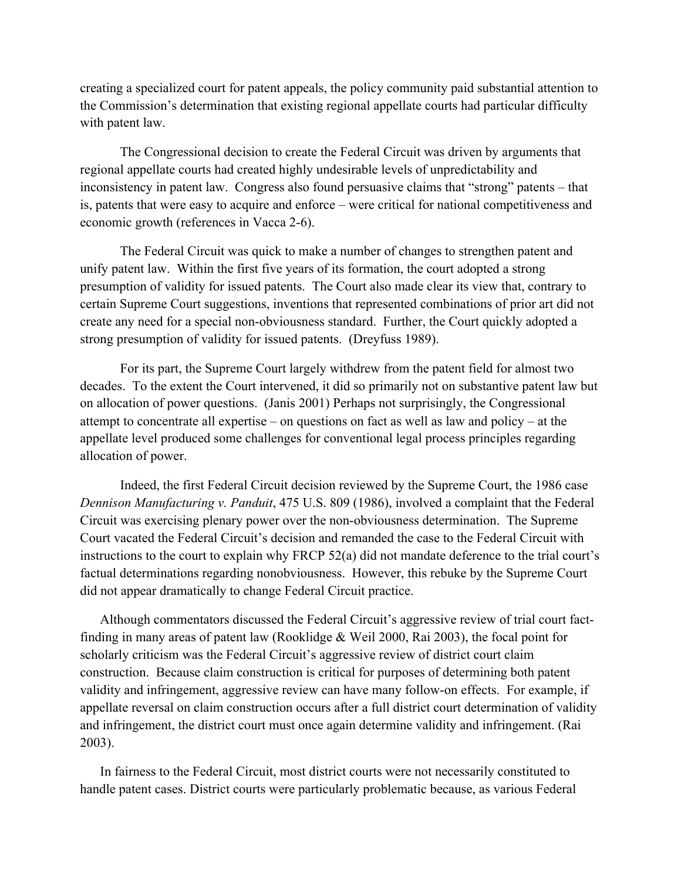creating a specialized court for patent appeals, the policy community paid substantial attention to the Commission's determination that existing regional appellate courts had particular difficulty with patent law.

The Congressional decision to create the Federal Circuit was driven by arguments that regional appellate courts had created highly undesirable levels of unpredictability and inconsistency in patent law. Congress also found persuasive claims that "strong" patents – that is, patents that were easy to acquire and enforce – were critical for national competitiveness and economic growth (references in Vacca 2-6).

The Federal Circuit was quick to make a number of changes to strengthen patent and unify patent law. Within the first five years of its formation, the court adopted a strong presumption of validity for issued patents. The Court also made clear its view that, contrary to certain Supreme Court suggestions, inventions that represented combinations of prior art did not create any need for a special non-obviousness standard. Further, the Court quickly adopted a strong presumption of validity for issued patents. (Dreyfuss 1989).

For its part, the Supreme Court largely withdrew from the patent field for almost two decades. To the extent the Court intervened, it did so primarily not on substantive patent law but on allocation of power questions. (Janis 2001) Perhaps not surprisingly, the Congressional attempt to concentrate all expertise – on questions on fact as well as law and policy – at the appellate level produced some challenges for conventional legal process principles regarding allocation of power.

Indeed, the first Federal Circuit decision reviewed by the Supreme Court, the 1986 case *Dennison Manufacturing v. Panduit*, 475 U.S. 809 (1986), involved a complaint that the Federal Circuit was exercising plenary power over the non-obviousness determination. The Supreme Court vacated the Federal Circuit's decision and remanded the case to the Federal Circuit with instructions to the court to explain why FRCP 52(a) did not mandate deference to the trial court's factual determinations regarding nonobviousness. However, this rebuke by the Supreme Court did not appear dramatically to change Federal Circuit practice.

Although commentators discussed the Federal Circuit's aggressive review of trial court factfinding in many areas of patent law (Rooklidge & Weil 2000, Rai 2003), the focal point for scholarly criticism was the Federal Circuit's aggressive review of district court claim construction. Because claim construction is critical for purposes of determining both patent validity and infringement, aggressive review can have many follow-on effects. For example, if appellate reversal on claim construction occurs after a full district court determination of validity and infringement, the district court must once again determine validity and infringement. (Rai 2003).

In fairness to the Federal Circuit, most district courts were not necessarily constituted to handle patent cases. District courts were particularly problematic because, as various Federal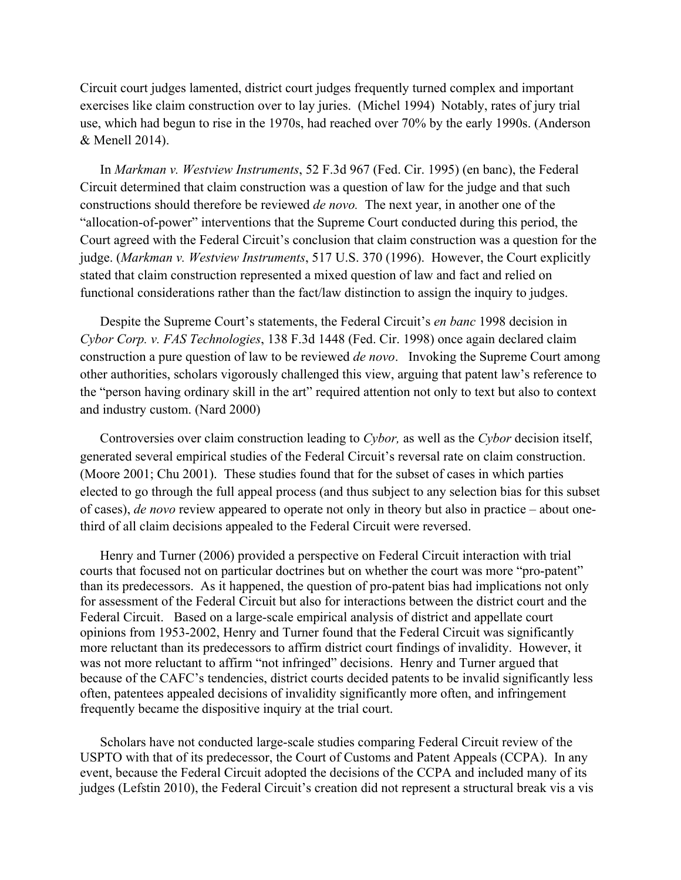Circuit court judges lamented, district court judges frequently turned complex and important exercises like claim construction over to lay juries. (Michel 1994) Notably, rates of jury trial use, which had begun to rise in the 1970s, had reached over 70% by the early 1990s. (Anderson & Menell 2014).

In *Markman v. Westview Instruments*, 52 F.3d 967 (Fed. Cir. 1995) (en banc), the Federal Circuit determined that claim construction was a question of law for the judge and that such constructions should therefore be reviewed *de novo.* The next year, in another one of the "allocation-of-power" interventions that the Supreme Court conducted during this period, the Court agreed with the Federal Circuit's conclusion that claim construction was a question for the judge. (*Markman v. Westview Instruments*, 517 U.S. 370 (1996). However, the Court explicitly stated that claim construction represented a mixed question of law and fact and relied on functional considerations rather than the fact/law distinction to assign the inquiry to judges.

Despite the Supreme Court's statements, the Federal Circuit's *en banc* 1998 decision in *Cybor Corp. v. FAS Technologies*, 138 F.3d 1448 (Fed. Cir. 1998) once again declared claim construction a pure question of law to be reviewed *de novo*. Invoking the Supreme Court among other authorities, scholars vigorously challenged this view, arguing that patent law's reference to the "person having ordinary skill in the art" required attention not only to text but also to context and industry custom. (Nard 2000)

Controversies over claim construction leading to *Cybor,* as well as the *Cybor* decision itself, generated several empirical studies of the Federal Circuit's reversal rate on claim construction. (Moore 2001; Chu 2001). These studies found that for the subset of cases in which parties elected to go through the full appeal process (and thus subject to any selection bias for this subset of cases), *de novo* review appeared to operate not only in theory but also in practice – about onethird of all claim decisions appealed to the Federal Circuit were reversed.

Henry and Turner (2006) provided a perspective on Federal Circuit interaction with trial courts that focused not on particular doctrines but on whether the court was more "pro-patent" than its predecessors. As it happened, the question of pro-patent bias had implications not only for assessment of the Federal Circuit but also for interactions between the district court and the Federal Circuit. Based on a large-scale empirical analysis of district and appellate court opinions from 1953-2002, Henry and Turner found that the Federal Circuit was significantly more reluctant than its predecessors to affirm district court findings of invalidity. However, it was not more reluctant to affirm "not infringed" decisions. Henry and Turner argued that because of the CAFC's tendencies, district courts decided patents to be invalid significantly less often, patentees appealed decisions of invalidity significantly more often, and infringement frequently became the dispositive inquiry at the trial court.

Scholars have not conducted large-scale studies comparing Federal Circuit review of the USPTO with that of its predecessor, the Court of Customs and Patent Appeals (CCPA). In any event, because the Federal Circuit adopted the decisions of the CCPA and included many of its judges (Lefstin 2010), the Federal Circuit's creation did not represent a structural break vis a vis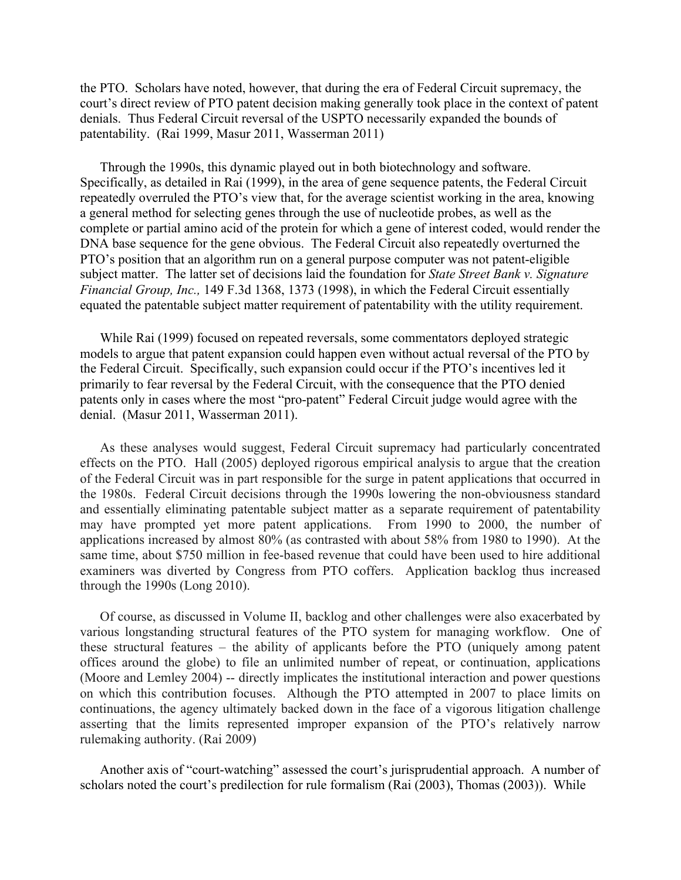the PTO. Scholars have noted, however, that during the era of Federal Circuit supremacy, the court's direct review of PTO patent decision making generally took place in the context of patent denials. Thus Federal Circuit reversal of the USPTO necessarily expanded the bounds of patentability. (Rai 1999, Masur 2011, Wasserman 2011)

Through the 1990s, this dynamic played out in both biotechnology and software. Specifically, as detailed in Rai (1999), in the area of gene sequence patents, the Federal Circuit repeatedly overruled the PTO's view that, for the average scientist working in the area, knowing a general method for selecting genes through the use of nucleotide probes, as well as the complete or partial amino acid of the protein for which a gene of interest coded, would render the DNA base sequence for the gene obvious. The Federal Circuit also repeatedly overturned the PTO's position that an algorithm run on a general purpose computer was not patent-eligible subject matter. The latter set of decisions laid the foundation for *State Street Bank v. Signature Financial Group, Inc.,* 149 F.3d 1368, 1373 (1998), in which the Federal Circuit essentially equated the patentable subject matter requirement of patentability with the utility requirement.

While Rai (1999) focused on repeated reversals, some commentators deployed strategic models to argue that patent expansion could happen even without actual reversal of the PTO by the Federal Circuit. Specifically, such expansion could occur if the PTO's incentives led it primarily to fear reversal by the Federal Circuit, with the consequence that the PTO denied patents only in cases where the most "pro-patent" Federal Circuit judge would agree with the denial. (Masur 2011, Wasserman 2011).

As these analyses would suggest, Federal Circuit supremacy had particularly concentrated effects on the PTO. Hall (2005) deployed rigorous empirical analysis to argue that the creation of the Federal Circuit was in part responsible for the surge in patent applications that occurred in the 1980s. Federal Circuit decisions through the 1990s lowering the non-obviousness standard and essentially eliminating patentable subject matter as a separate requirement of patentability may have prompted yet more patent applications. From 1990 to 2000, the number of applications increased by almost 80% (as contrasted with about 58% from 1980 to 1990). At the same time, about \$750 million in fee-based revenue that could have been used to hire additional examiners was diverted by Congress from PTO coffers. Application backlog thus increased through the 1990s (Long 2010).

Of course, as discussed in Volume II, backlog and other challenges were also exacerbated by various longstanding structural features of the PTO system for managing workflow. One of these structural features – the ability of applicants before the PTO (uniquely among patent offices around the globe) to file an unlimited number of repeat, or continuation, applications (Moore and Lemley 2004) -- directly implicates the institutional interaction and power questions on which this contribution focuses. Although the PTO attempted in 2007 to place limits on continuations, the agency ultimately backed down in the face of a vigorous litigation challenge asserting that the limits represented improper expansion of the PTO's relatively narrow rulemaking authority. (Rai 2009)

Another axis of "court-watching" assessed the court's jurisprudential approach. A number of scholars noted the court's predilection for rule formalism (Rai (2003), Thomas (2003)). While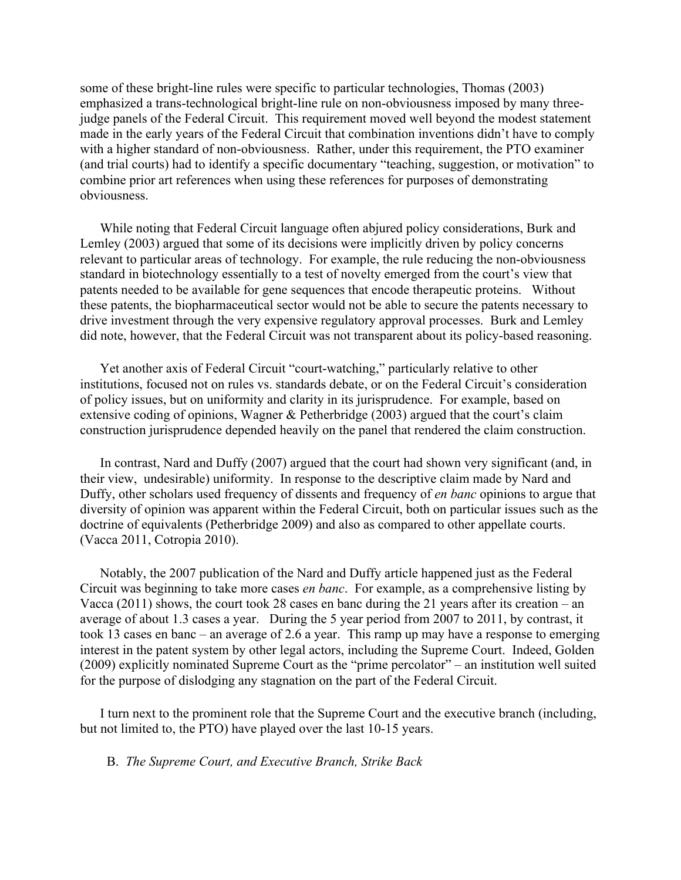some of these bright-line rules were specific to particular technologies, Thomas (2003) emphasized a trans-technological bright-line rule on non-obviousness imposed by many threejudge panels of the Federal Circuit. This requirement moved well beyond the modest statement made in the early years of the Federal Circuit that combination inventions didn't have to comply with a higher standard of non-obviousness. Rather, under this requirement, the PTO examiner (and trial courts) had to identify a specific documentary "teaching, suggestion, or motivation" to combine prior art references when using these references for purposes of demonstrating obviousness.

While noting that Federal Circuit language often abjured policy considerations, Burk and Lemley (2003) argued that some of its decisions were implicitly driven by policy concerns relevant to particular areas of technology. For example, the rule reducing the non-obviousness standard in biotechnology essentially to a test of novelty emerged from the court's view that patents needed to be available for gene sequences that encode therapeutic proteins. Without these patents, the biopharmaceutical sector would not be able to secure the patents necessary to drive investment through the very expensive regulatory approval processes. Burk and Lemley did note, however, that the Federal Circuit was not transparent about its policy-based reasoning.

Yet another axis of Federal Circuit "court-watching," particularly relative to other institutions, focused not on rules vs. standards debate, or on the Federal Circuit's consideration of policy issues, but on uniformity and clarity in its jurisprudence. For example, based on extensive coding of opinions, Wagner & Petherbridge (2003) argued that the court's claim construction jurisprudence depended heavily on the panel that rendered the claim construction.

In contrast, Nard and Duffy (2007) argued that the court had shown very significant (and, in their view, undesirable) uniformity. In response to the descriptive claim made by Nard and Duffy, other scholars used frequency of dissents and frequency of *en banc* opinions to argue that diversity of opinion was apparent within the Federal Circuit, both on particular issues such as the doctrine of equivalents (Petherbridge 2009) and also as compared to other appellate courts. (Vacca 2011, Cotropia 2010).

Notably, the 2007 publication of the Nard and Duffy article happened just as the Federal Circuit was beginning to take more cases *en banc*. For example, as a comprehensive listing by Vacca (2011) shows, the court took 28 cases en banc during the 21 years after its creation – an average of about 1.3 cases a year. During the 5 year period from 2007 to 2011, by contrast, it took 13 cases en banc – an average of 2.6 a year. This ramp up may have a response to emerging interest in the patent system by other legal actors, including the Supreme Court. Indeed, Golden (2009) explicitly nominated Supreme Court as the "prime percolator" – an institution well suited for the purpose of dislodging any stagnation on the part of the Federal Circuit.

I turn next to the prominent role that the Supreme Court and the executive branch (including, but not limited to, the PTO) have played over the last 10-15 years.

#### B. *The Supreme Court, and Executive Branch, Strike Back*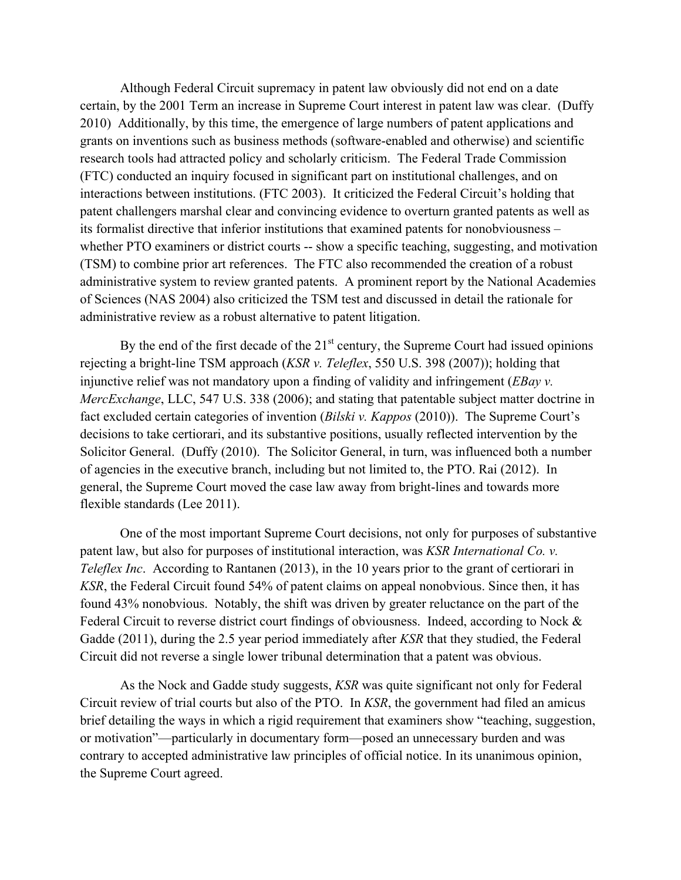Although Federal Circuit supremacy in patent law obviously did not end on a date certain, by the 2001 Term an increase in Supreme Court interest in patent law was clear. (Duffy 2010) Additionally, by this time, the emergence of large numbers of patent applications and grants on inventions such as business methods (software-enabled and otherwise) and scientific research tools had attracted policy and scholarly criticism. The Federal Trade Commission (FTC) conducted an inquiry focused in significant part on institutional challenges, and on interactions between institutions. (FTC 2003). It criticized the Federal Circuit's holding that patent challengers marshal clear and convincing evidence to overturn granted patents as well as its formalist directive that inferior institutions that examined patents for nonobviousness – whether PTO examiners or district courts -- show a specific teaching, suggesting, and motivation (TSM) to combine prior art references. The FTC also recommended the creation of a robust administrative system to review granted patents. A prominent report by the National Academies of Sciences (NAS 2004) also criticized the TSM test and discussed in detail the rationale for administrative review as a robust alternative to patent litigation.

By the end of the first decade of the  $21<sup>st</sup>$  century, the Supreme Court had issued opinions rejecting a bright-line TSM approach (*KSR v. Teleflex*, 550 U.S. 398 (2007)); holding that injunctive relief was not mandatory upon a finding of validity and infringement (*EBay v. MercExchange*, LLC, 547 U.S. 338 (2006); and stating that patentable subject matter doctrine in fact excluded certain categories of invention (*Bilski v. Kappos* (2010)). The Supreme Court's decisions to take certiorari, and its substantive positions, usually reflected intervention by the Solicitor General. (Duffy (2010). The Solicitor General, in turn, was influenced both a number of agencies in the executive branch, including but not limited to, the PTO. Rai (2012). In general, the Supreme Court moved the case law away from bright-lines and towards more flexible standards (Lee 2011).

One of the most important Supreme Court decisions, not only for purposes of substantive patent law, but also for purposes of institutional interaction, was *KSR International Co. v. Teleflex Inc*. According to Rantanen (2013), in the 10 years prior to the grant of certiorari in *KSR*, the Federal Circuit found 54% of patent claims on appeal nonobvious. Since then, it has found 43% nonobvious. Notably, the shift was driven by greater reluctance on the part of the Federal Circuit to reverse district court findings of obviousness. Indeed, according to Nock & Gadde (2011), during the 2.5 year period immediately after *KSR* that they studied, the Federal Circuit did not reverse a single lower tribunal determination that a patent was obvious.

As the Nock and Gadde study suggests, *KSR* was quite significant not only for Federal Circuit review of trial courts but also of the PTO. In *KSR*, the government had filed an amicus brief detailing the ways in which a rigid requirement that examiners show "teaching, suggestion, or motivation"—particularly in documentary form—posed an unnecessary burden and was contrary to accepted administrative law principles of official notice. In its unanimous opinion, the Supreme Court agreed.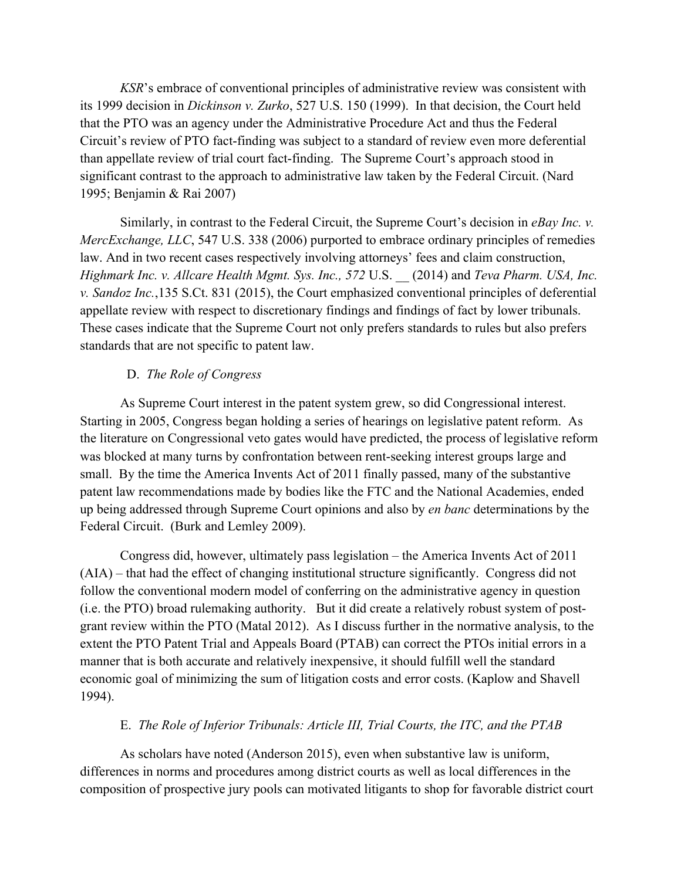*KSR*'s embrace of conventional principles of administrative review was consistent with its 1999 decision in *Dickinson v. Zurko*, 527 U.S. 150 (1999). In that decision, the Court held that the PTO was an agency under the Administrative Procedure Act and thus the Federal Circuit's review of PTO fact-finding was subject to a standard of review even more deferential than appellate review of trial court fact-finding. The Supreme Court's approach stood in significant contrast to the approach to administrative law taken by the Federal Circuit. (Nard 1995; Benjamin & Rai 2007)

Similarly, in contrast to the Federal Circuit, the Supreme Court's decision in *eBay Inc. v. MercExchange, LLC*, 547 U.S. 338 (2006) purported to embrace ordinary principles of remedies law. And in two recent cases respectively involving attorneys' fees and claim construction, *Highmark Inc. v. Allcare Health Mgmt. Sys. Inc., 572* U.S. *\_\_* (2014) and *Teva Pharm. USA, Inc. v. Sandoz Inc.*,135 S.Ct. 831 (2015), the Court emphasized conventional principles of deferential appellate review with respect to discretionary findings and findings of fact by lower tribunals. These cases indicate that the Supreme Court not only prefers standards to rules but also prefers standards that are not specific to patent law.

### D. *The Role of Congress*

As Supreme Court interest in the patent system grew, so did Congressional interest. Starting in 2005, Congress began holding a series of hearings on legislative patent reform. As the literature on Congressional veto gates would have predicted, the process of legislative reform was blocked at many turns by confrontation between rent-seeking interest groups large and small. By the time the America Invents Act of 2011 finally passed, many of the substantive patent law recommendations made by bodies like the FTC and the National Academies, ended up being addressed through Supreme Court opinions and also by *en banc* determinations by the Federal Circuit. (Burk and Lemley 2009).

Congress did, however, ultimately pass legislation – the America Invents Act of 2011 (AIA) – that had the effect of changing institutional structure significantly. Congress did not follow the conventional modern model of conferring on the administrative agency in question (i.e. the PTO) broad rulemaking authority. But it did create a relatively robust system of postgrant review within the PTO (Matal 2012). As I discuss further in the normative analysis, to the extent the PTO Patent Trial and Appeals Board (PTAB) can correct the PTOs initial errors in a manner that is both accurate and relatively inexpensive, it should fulfill well the standard economic goal of minimizing the sum of litigation costs and error costs. (Kaplow and Shavell 1994).

#### E. *The Role of Inferior Tribunals: Article III, Trial Courts, the ITC, and the PTAB*

As scholars have noted (Anderson 2015), even when substantive law is uniform, differences in norms and procedures among district courts as well as local differences in the composition of prospective jury pools can motivated litigants to shop for favorable district court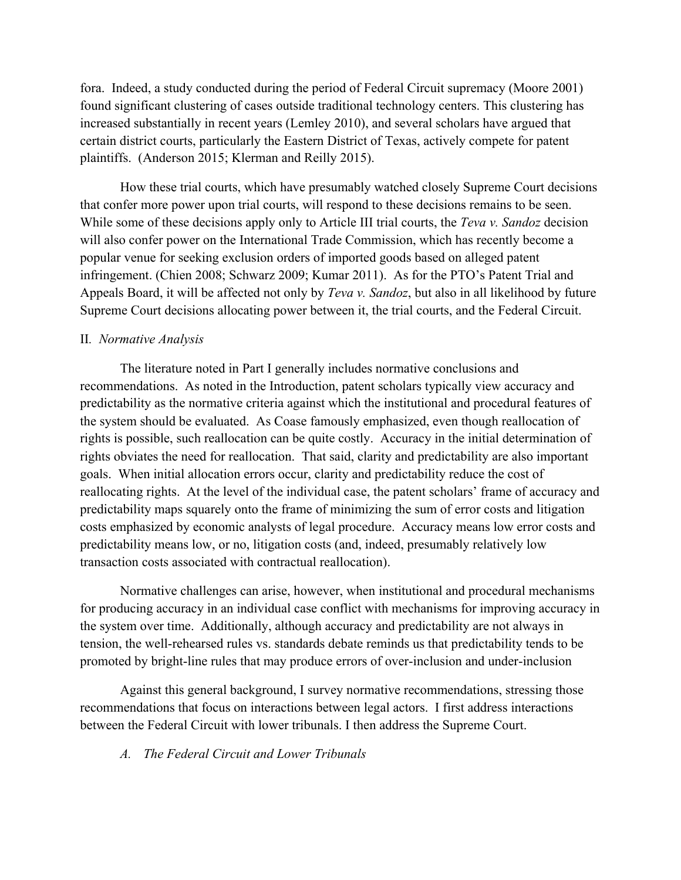fora. Indeed, a study conducted during the period of Federal Circuit supremacy (Moore 2001) found significant clustering of cases outside traditional technology centers. This clustering has increased substantially in recent years (Lemley 2010), and several scholars have argued that certain district courts, particularly the Eastern District of Texas, actively compete for patent plaintiffs. (Anderson 2015; Klerman and Reilly 2015).

How these trial courts, which have presumably watched closely Supreme Court decisions that confer more power upon trial courts, will respond to these decisions remains to be seen. While some of these decisions apply only to Article III trial courts, the *Teva v. Sandoz* decision will also confer power on the International Trade Commission, which has recently become a popular venue for seeking exclusion orders of imported goods based on alleged patent infringement. (Chien 2008; Schwarz 2009; Kumar 2011). As for the PTO's Patent Trial and Appeals Board, it will be affected not only by *Teva v. Sandoz*, but also in all likelihood by future Supreme Court decisions allocating power between it, the trial courts, and the Federal Circuit.

# II*. Normative Analysis*

The literature noted in Part I generally includes normative conclusions and recommendations. As noted in the Introduction, patent scholars typically view accuracy and predictability as the normative criteria against which the institutional and procedural features of the system should be evaluated. As Coase famously emphasized, even though reallocation of rights is possible, such reallocation can be quite costly. Accuracy in the initial determination of rights obviates the need for reallocation. That said, clarity and predictability are also important goals. When initial allocation errors occur, clarity and predictability reduce the cost of reallocating rights. At the level of the individual case, the patent scholars' frame of accuracy and predictability maps squarely onto the frame of minimizing the sum of error costs and litigation costs emphasized by economic analysts of legal procedure. Accuracy means low error costs and predictability means low, or no, litigation costs (and, indeed, presumably relatively low transaction costs associated with contractual reallocation).

Normative challenges can arise, however, when institutional and procedural mechanisms for producing accuracy in an individual case conflict with mechanisms for improving accuracy in the system over time. Additionally, although accuracy and predictability are not always in tension, the well-rehearsed rules vs. standards debate reminds us that predictability tends to be promoted by bright-line rules that may produce errors of over-inclusion and under-inclusion

Against this general background, I survey normative recommendations, stressing those recommendations that focus on interactions between legal actors. I first address interactions between the Federal Circuit with lower tribunals. I then address the Supreme Court.

*A. The Federal Circuit and Lower Tribunals*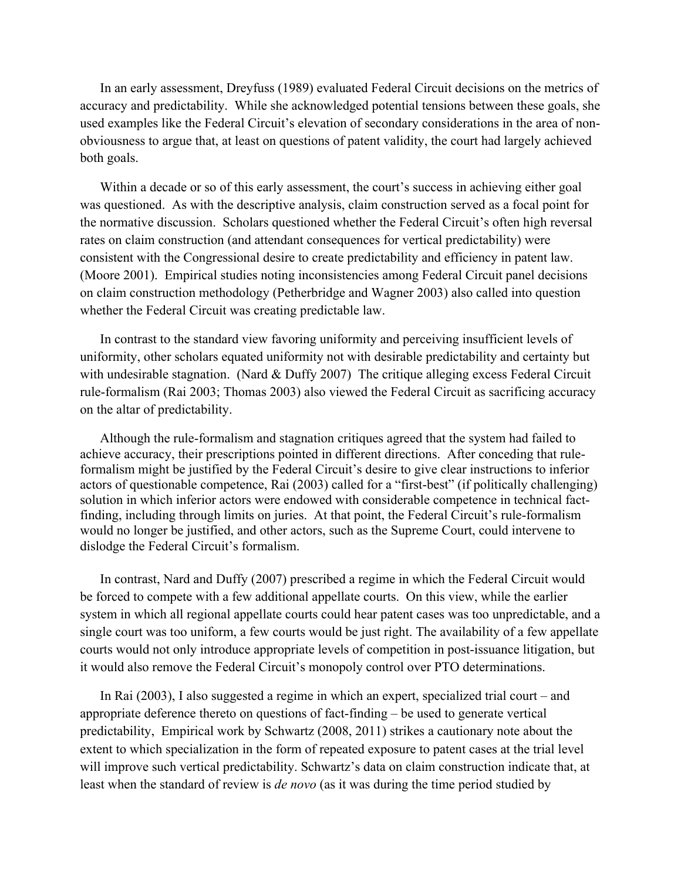In an early assessment, Dreyfuss (1989) evaluated Federal Circuit decisions on the metrics of accuracy and predictability. While she acknowledged potential tensions between these goals, she used examples like the Federal Circuit's elevation of secondary considerations in the area of nonobviousness to argue that, at least on questions of patent validity, the court had largely achieved both goals.

Within a decade or so of this early assessment, the court's success in achieving either goal was questioned. As with the descriptive analysis, claim construction served as a focal point for the normative discussion. Scholars questioned whether the Federal Circuit's often high reversal rates on claim construction (and attendant consequences for vertical predictability) were consistent with the Congressional desire to create predictability and efficiency in patent law. (Moore 2001). Empirical studies noting inconsistencies among Federal Circuit panel decisions on claim construction methodology (Petherbridge and Wagner 2003) also called into question whether the Federal Circuit was creating predictable law.

In contrast to the standard view favoring uniformity and perceiving insufficient levels of uniformity, other scholars equated uniformity not with desirable predictability and certainty but with undesirable stagnation. (Nard & Duffy 2007) The critique alleging excess Federal Circuit rule-formalism (Rai 2003; Thomas 2003) also viewed the Federal Circuit as sacrificing accuracy on the altar of predictability.

Although the rule-formalism and stagnation critiques agreed that the system had failed to achieve accuracy, their prescriptions pointed in different directions. After conceding that ruleformalism might be justified by the Federal Circuit's desire to give clear instructions to inferior actors of questionable competence, Rai (2003) called for a "first-best" (if politically challenging) solution in which inferior actors were endowed with considerable competence in technical factfinding, including through limits on juries. At that point, the Federal Circuit's rule-formalism would no longer be justified, and other actors, such as the Supreme Court, could intervene to dislodge the Federal Circuit's formalism.

In contrast, Nard and Duffy (2007) prescribed a regime in which the Federal Circuit would be forced to compete with a few additional appellate courts. On this view, while the earlier system in which all regional appellate courts could hear patent cases was too unpredictable, and a single court was too uniform, a few courts would be just right. The availability of a few appellate courts would not only introduce appropriate levels of competition in post-issuance litigation, but it would also remove the Federal Circuit's monopoly control over PTO determinations.

In Rai (2003), I also suggested a regime in which an expert, specialized trial court – and appropriate deference thereto on questions of fact-finding – be used to generate vertical predictability, Empirical work by Schwartz (2008, 2011) strikes a cautionary note about the extent to which specialization in the form of repeated exposure to patent cases at the trial level will improve such vertical predictability. Schwartz's data on claim construction indicate that, at least when the standard of review is *de novo* (as it was during the time period studied by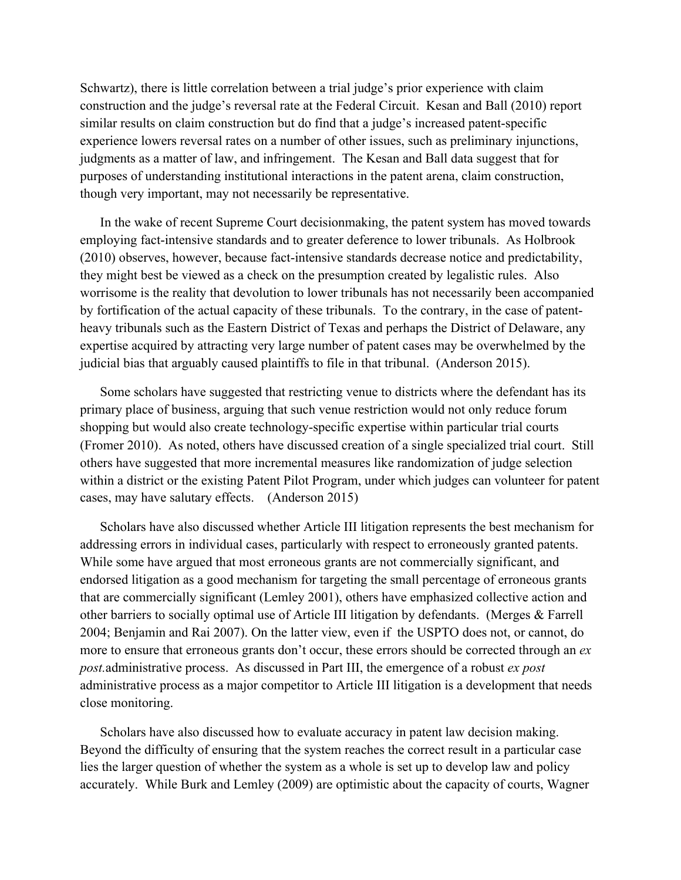Schwartz), there is little correlation between a trial judge's prior experience with claim construction and the judge's reversal rate at the Federal Circuit. Kesan and Ball (2010) report similar results on claim construction but do find that a judge's increased patent-specific experience lowers reversal rates on a number of other issues, such as preliminary injunctions, judgments as a matter of law, and infringement. The Kesan and Ball data suggest that for purposes of understanding institutional interactions in the patent arena, claim construction, though very important, may not necessarily be representative.

In the wake of recent Supreme Court decisionmaking, the patent system has moved towards employing fact-intensive standards and to greater deference to lower tribunals. As Holbrook (2010) observes, however, because fact-intensive standards decrease notice and predictability, they might best be viewed as a check on the presumption created by legalistic rules. Also worrisome is the reality that devolution to lower tribunals has not necessarily been accompanied by fortification of the actual capacity of these tribunals. To the contrary, in the case of patentheavy tribunals such as the Eastern District of Texas and perhaps the District of Delaware, any expertise acquired by attracting very large number of patent cases may be overwhelmed by the judicial bias that arguably caused plaintiffs to file in that tribunal. (Anderson 2015).

Some scholars have suggested that restricting venue to districts where the defendant has its primary place of business, arguing that such venue restriction would not only reduce forum shopping but would also create technology-specific expertise within particular trial courts (Fromer 2010). As noted, others have discussed creation of a single specialized trial court. Still others have suggested that more incremental measures like randomization of judge selection within a district or the existing Patent Pilot Program, under which judges can volunteer for patent cases, may have salutary effects. (Anderson 2015)

Scholars have also discussed whether Article III litigation represents the best mechanism for addressing errors in individual cases, particularly with respect to erroneously granted patents. While some have argued that most erroneous grants are not commercially significant, and endorsed litigation as a good mechanism for targeting the small percentage of erroneous grants that are commercially significant (Lemley 2001), others have emphasized collective action and other barriers to socially optimal use of Article III litigation by defendants. (Merges & Farrell 2004; Benjamin and Rai 2007). On the latter view, even if the USPTO does not, or cannot, do more to ensure that erroneous grants don't occur, these errors should be corrected through an *ex post.*administrative process. As discussed in Part III, the emergence of a robust *ex post* administrative process as a major competitor to Article III litigation is a development that needs close monitoring.

Scholars have also discussed how to evaluate accuracy in patent law decision making. Beyond the difficulty of ensuring that the system reaches the correct result in a particular case lies the larger question of whether the system as a whole is set up to develop law and policy accurately. While Burk and Lemley (2009) are optimistic about the capacity of courts, Wagner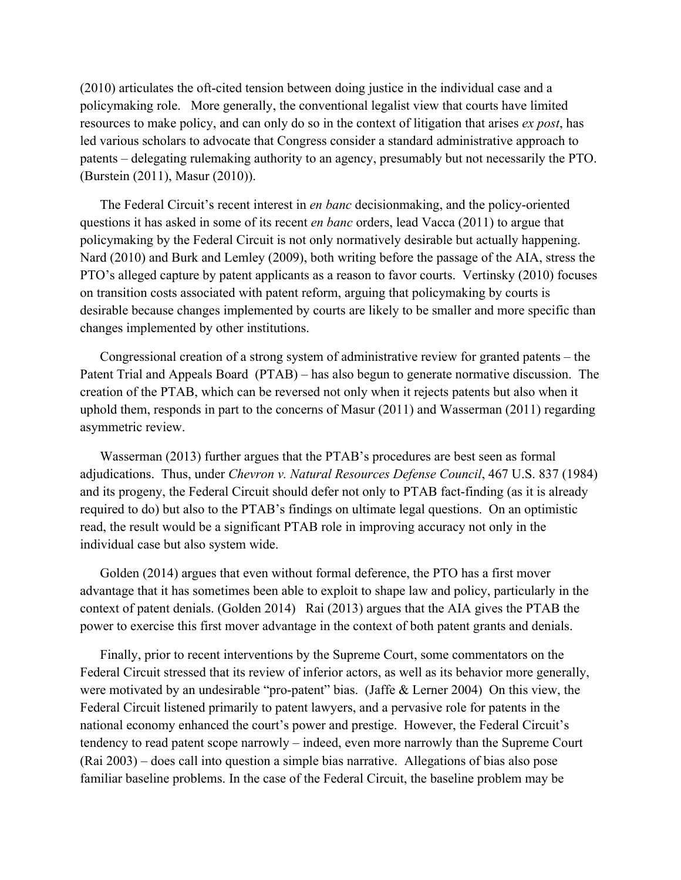(2010) articulates the oft-cited tension between doing justice in the individual case and a policymaking role. More generally, the conventional legalist view that courts have limited resources to make policy, and can only do so in the context of litigation that arises *ex post*, has led various scholars to advocate that Congress consider a standard administrative approach to patents – delegating rulemaking authority to an agency, presumably but not necessarily the PTO. (Burstein (2011), Masur (2010)).

The Federal Circuit's recent interest in *en banc* decisionmaking, and the policy-oriented questions it has asked in some of its recent *en banc* orders, lead Vacca (2011) to argue that policymaking by the Federal Circuit is not only normatively desirable but actually happening. Nard (2010) and Burk and Lemley (2009), both writing before the passage of the AIA, stress the PTO's alleged capture by patent applicants as a reason to favor courts. Vertinsky (2010) focuses on transition costs associated with patent reform, arguing that policymaking by courts is desirable because changes implemented by courts are likely to be smaller and more specific than changes implemented by other institutions.

Congressional creation of a strong system of administrative review for granted patents – the Patent Trial and Appeals Board (PTAB) – has also begun to generate normative discussion. The creation of the PTAB, which can be reversed not only when it rejects patents but also when it uphold them, responds in part to the concerns of Masur (2011) and Wasserman (2011) regarding asymmetric review.

Wasserman (2013) further argues that the PTAB's procedures are best seen as formal adjudications. Thus, under *Chevron v. Natural Resources Defense Council*, 467 U.S. 837 (1984) and its progeny, the Federal Circuit should defer not only to PTAB fact-finding (as it is already required to do) but also to the PTAB's findings on ultimate legal questions. On an optimistic read, the result would be a significant PTAB role in improving accuracy not only in the individual case but also system wide.

Golden (2014) argues that even without formal deference, the PTO has a first mover advantage that it has sometimes been able to exploit to shape law and policy, particularly in the context of patent denials. (Golden 2014) Rai (2013) argues that the AIA gives the PTAB the power to exercise this first mover advantage in the context of both patent grants and denials.

Finally, prior to recent interventions by the Supreme Court, some commentators on the Federal Circuit stressed that its review of inferior actors, as well as its behavior more generally, were motivated by an undesirable "pro-patent" bias. (Jaffe & Lerner 2004) On this view, the Federal Circuit listened primarily to patent lawyers, and a pervasive role for patents in the national economy enhanced the court's power and prestige. However, the Federal Circuit's tendency to read patent scope narrowly – indeed, even more narrowly than the Supreme Court (Rai 2003) – does call into question a simple bias narrative. Allegations of bias also pose familiar baseline problems. In the case of the Federal Circuit, the baseline problem may be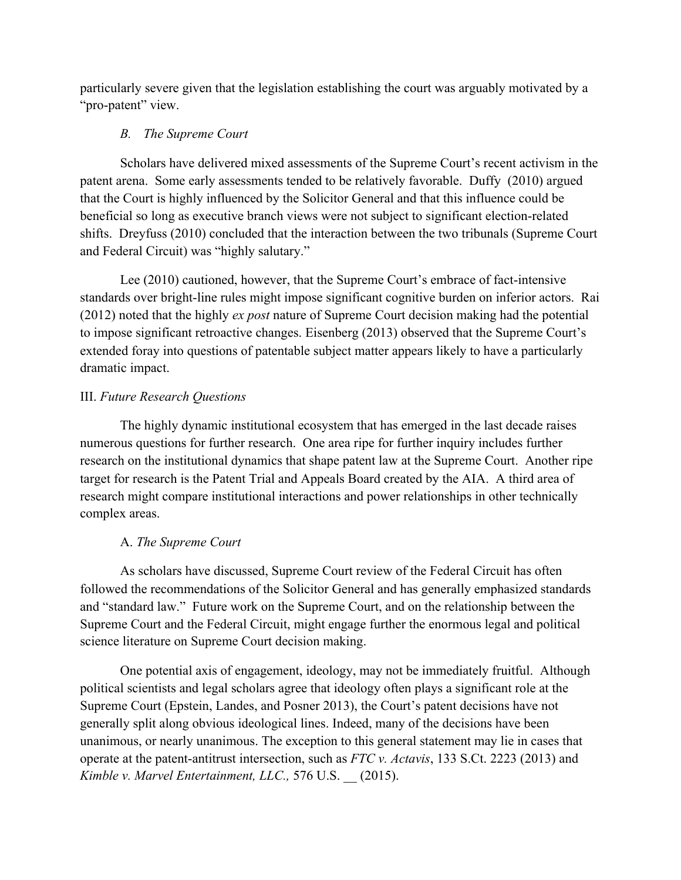particularly severe given that the legislation establishing the court was arguably motivated by a "pro-patent" view.

### *B. The Supreme Court*

Scholars have delivered mixed assessments of the Supreme Court's recent activism in the patent arena. Some early assessments tended to be relatively favorable. Duffy (2010) argued that the Court is highly influenced by the Solicitor General and that this influence could be beneficial so long as executive branch views were not subject to significant election-related shifts. Dreyfuss (2010) concluded that the interaction between the two tribunals (Supreme Court and Federal Circuit) was "highly salutary."

Lee (2010) cautioned, however, that the Supreme Court's embrace of fact-intensive standards over bright-line rules might impose significant cognitive burden on inferior actors. Rai (2012) noted that the highly *ex post* nature of Supreme Court decision making had the potential to impose significant retroactive changes. Eisenberg (2013) observed that the Supreme Court's extended foray into questions of patentable subject matter appears likely to have a particularly dramatic impact.

### III. *Future Research Questions*

The highly dynamic institutional ecosystem that has emerged in the last decade raises numerous questions for further research. One area ripe for further inquiry includes further research on the institutional dynamics that shape patent law at the Supreme Court. Another ripe target for research is the Patent Trial and Appeals Board created by the AIA. A third area of research might compare institutional interactions and power relationships in other technically complex areas.

#### A. *The Supreme Court*

As scholars have discussed, Supreme Court review of the Federal Circuit has often followed the recommendations of the Solicitor General and has generally emphasized standards and "standard law." Future work on the Supreme Court, and on the relationship between the Supreme Court and the Federal Circuit, might engage further the enormous legal and political science literature on Supreme Court decision making.

One potential axis of engagement, ideology, may not be immediately fruitful. Although political scientists and legal scholars agree that ideology often plays a significant role at the Supreme Court (Epstein, Landes, and Posner 2013), the Court's patent decisions have not generally split along obvious ideological lines. Indeed, many of the decisions have been unanimous, or nearly unanimous. The exception to this general statement may lie in cases that operate at the patent-antitrust intersection, such as *FTC v. Actavis*, 133 S.Ct. 2223 (2013) and *Kimble v. Marvel Entertainment, LLC.,* 576 U.S. \_\_ (2015).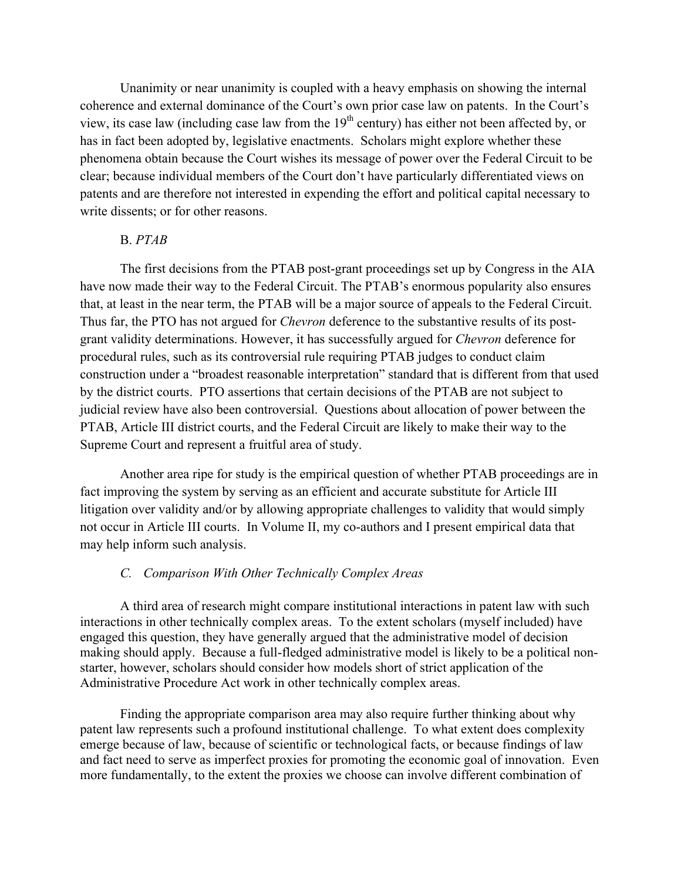Unanimity or near unanimity is coupled with a heavy emphasis on showing the internal coherence and external dominance of the Court's own prior case law on patents. In the Court's view, its case law (including case law from the  $19<sup>th</sup>$  century) has either not been affected by, or has in fact been adopted by, legislative enactments. Scholars might explore whether these phenomena obtain because the Court wishes its message of power over the Federal Circuit to be clear; because individual members of the Court don't have particularly differentiated views on patents and are therefore not interested in expending the effort and political capital necessary to write dissents; or for other reasons.

### B. *PTAB*

The first decisions from the PTAB post-grant proceedings set up by Congress in the AIA have now made their way to the Federal Circuit. The PTAB's enormous popularity also ensures that, at least in the near term, the PTAB will be a major source of appeals to the Federal Circuit. Thus far, the PTO has not argued for *Chevron* deference to the substantive results of its postgrant validity determinations. However, it has successfully argued for *Chevron* deference for procedural rules, such as its controversial rule requiring PTAB judges to conduct claim construction under a "broadest reasonable interpretation" standard that is different from that used by the district courts. PTO assertions that certain decisions of the PTAB are not subject to judicial review have also been controversial. Questions about allocation of power between the PTAB, Article III district courts, and the Federal Circuit are likely to make their way to the Supreme Court and represent a fruitful area of study.

Another area ripe for study is the empirical question of whether PTAB proceedings are in fact improving the system by serving as an efficient and accurate substitute for Article III litigation over validity and/or by allowing appropriate challenges to validity that would simply not occur in Article III courts. In Volume II, my co-authors and I present empirical data that may help inform such analysis.

# *C. Comparison With Other Technically Complex Areas*

A third area of research might compare institutional interactions in patent law with such interactions in other technically complex areas. To the extent scholars (myself included) have engaged this question, they have generally argued that the administrative model of decision making should apply. Because a full-fledged administrative model is likely to be a political nonstarter, however, scholars should consider how models short of strict application of the Administrative Procedure Act work in other technically complex areas.

Finding the appropriate comparison area may also require further thinking about why patent law represents such a profound institutional challenge. To what extent does complexity emerge because of law, because of scientific or technological facts, or because findings of law and fact need to serve as imperfect proxies for promoting the economic goal of innovation. Even more fundamentally, to the extent the proxies we choose can involve different combination of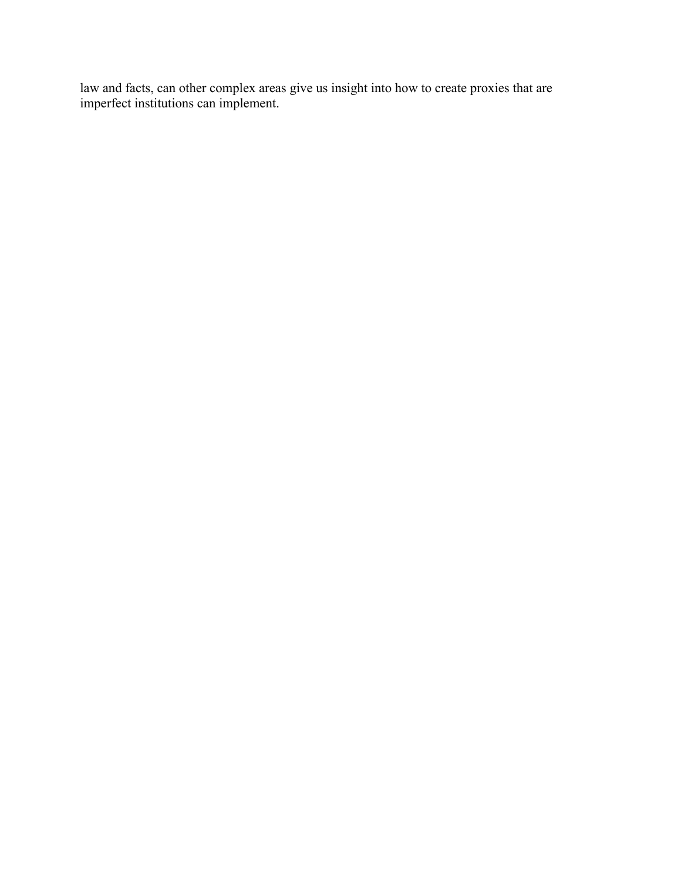law and facts, can other complex areas give us insight into how to create proxies that are imperfect institutions can implement.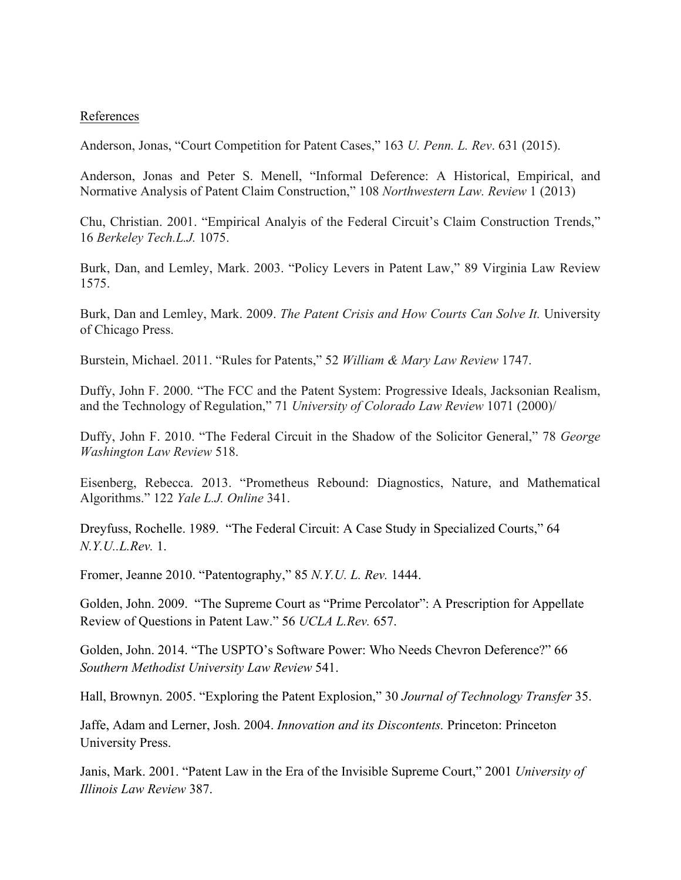### References

Anderson, Jonas, "Court Competition for Patent Cases," 163 *U. Penn. L. Rev*. 631 (2015).

Anderson, Jonas and Peter S. Menell, "Informal Deference: A Historical, Empirical, and Normative Analysis of Patent Claim Construction," 108 *Northwestern Law. Review* 1 (2013)

Chu, Christian. 2001. "Empirical Analyis of the Federal Circuit's Claim Construction Trends," 16 *Berkeley Tech.L.J.* 1075.

Burk, Dan, and Lemley, Mark. 2003. "Policy Levers in Patent Law," 89 Virginia Law Review 1575.

Burk, Dan and Lemley, Mark. 2009. *The Patent Crisis and How Courts Can Solve It.* University of Chicago Press.

Burstein, Michael. 2011. "Rules for Patents," 52 *William & Mary Law Review* 1747.

Duffy, John F. 2000. "The FCC and the Patent System: Progressive Ideals, Jacksonian Realism, and the Technology of Regulation," 71 *University of Colorado Law Review* 1071 (2000)/

Duffy, John F. 2010. "The Federal Circuit in the Shadow of the Solicitor General," 78 *George Washington Law Review* 518.

Eisenberg, Rebecca. 2013. "Prometheus Rebound: Diagnostics, Nature, and Mathematical Algorithms." 122 *Yale L.J. Online* 341.

Dreyfuss, Rochelle. 1989. "The Federal Circuit: A Case Study in Specialized Courts," 64 *N.Y.U..L.Rev.* 1.

Fromer, Jeanne 2010. "Patentography," 85 *N.Y.U. L. Rev.* 1444.

Golden, John. 2009. "The Supreme Court as "Prime Percolator": A Prescription for Appellate Review of Questions in Patent Law." 56 *UCLA L.Rev.* 657.

Golden, John. 2014. "The USPTO's Software Power: Who Needs Chevron Deference?" 66 *Southern Methodist University Law Review* 541.

Hall, Brownyn. 2005. "Exploring the Patent Explosion," 30 *Journal of Technology Transfer* 35.

Jaffe, Adam and Lerner, Josh. 2004. *Innovation and its Discontents.* Princeton: Princeton University Press.

Janis, Mark. 2001. "Patent Law in the Era of the Invisible Supreme Court," 2001 *University of Illinois Law Review* 387.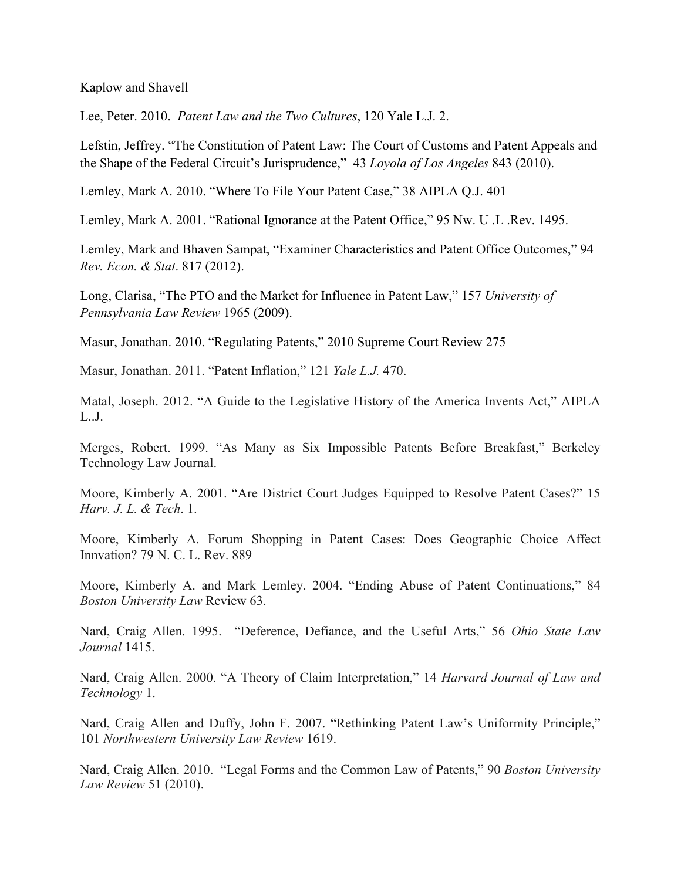Kaplow and Shavell

Lee, Peter. 2010. *Patent Law and the Two Cultures*, 120 Yale L.J. 2.

Lefstin, Jeffrey. "The Constitution of Patent Law: The Court of Customs and Patent Appeals and the Shape of the Federal Circuit's Jurisprudence," 43 *Loyola of Los Angeles* 843 (2010).

Lemley, Mark A. 2010. "Where To File Your Patent Case," 38 AIPLA Q.J. 401

Lemley, Mark A. 2001. "Rational Ignorance at the Patent Office," 95 Nw. U .L .Rev. 1495.

Lemley, Mark and Bhaven Sampat, "Examiner Characteristics and Patent Office Outcomes," 94 *Rev. Econ. & Stat*. 817 (2012).

Long, Clarisa, "The PTO and the Market for Influence in Patent Law," 157 *University of Pennsylvania Law Review* 1965 (2009).

Masur, Jonathan. 2010. "Regulating Patents," 2010 Supreme Court Review 275

Masur, Jonathan. 2011. "Patent Inflation," 121 *Yale L.J.* 470.

Matal, Joseph. 2012. "A Guide to the Legislative History of the America Invents Act," AIPLA L..J.

Merges, Robert. 1999. "As Many as Six Impossible Patents Before Breakfast," Berkeley Technology Law Journal.

Moore, Kimberly A. 2001. "Are District Court Judges Equipped to Resolve Patent Cases?" 15 *Harv. J. L. & Tech*. 1.

Moore, Kimberly A. Forum Shopping in Patent Cases: Does Geographic Choice Affect Innvation? 79 N. C. L. Rev. 889

Moore, Kimberly A. and Mark Lemley. 2004. "Ending Abuse of Patent Continuations," 84 *Boston University Law* Review 63.

Nard, Craig Allen. 1995. "Deference, Defiance, and the Useful Arts," 56 *Ohio State Law Journal* 1415.

Nard, Craig Allen. 2000. "A Theory of Claim Interpretation," 14 *Harvard Journal of Law and Technology* 1.

Nard, Craig Allen and Duffy, John F. 2007. "Rethinking Patent Law's Uniformity Principle," 101 *Northwestern University Law Review* 1619.

Nard, Craig Allen. 2010. "Legal Forms and the Common Law of Patents," 90 *Boston University Law Review* 51 (2010).